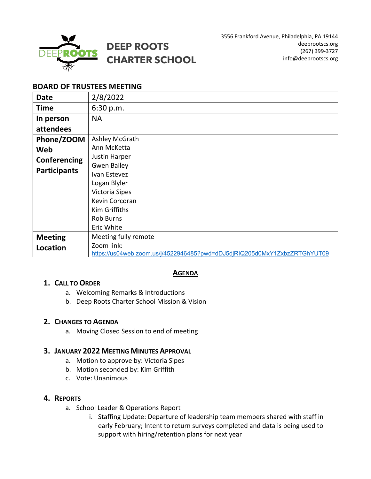

# **BOARD OF TRUSTEES MEETING**

| <b>Date</b>         | 2/8/2022                                                                  |
|---------------------|---------------------------------------------------------------------------|
| <b>Time</b>         | 6:30 p.m.                                                                 |
| In person           | <b>NA</b>                                                                 |
| attendees           |                                                                           |
| Phone/ZOOM          | Ashley McGrath                                                            |
| Web                 | Ann McKetta                                                               |
| Conferencing        | <b>Justin Harper</b>                                                      |
|                     | <b>Gwen Bailey</b>                                                        |
| <b>Participants</b> | Ivan Estevez                                                              |
|                     | Logan Blyler                                                              |
|                     | Victoria Sipes                                                            |
|                     | Kevin Corcoran                                                            |
|                     | <b>Kim Griffiths</b>                                                      |
|                     | <b>Rob Burns</b>                                                          |
|                     | Eric White                                                                |
| <b>Meeting</b>      | Meeting fully remote                                                      |
| Location            | Zoom link:                                                                |
|                     | https://us04web.zoom.us/j/4522946485?pwd=dDJ5djRIQ205d0MxY1ZxbzZRTGhYUT09 |

# **AGENDA**

#### **1. CALL TO ORDER**

- a. Welcoming Remarks & Introductions
- b. Deep Roots Charter School Mission & Vision

#### **2. CHANGES TO AGENDA**

a. Moving Closed Session to end of meeting

#### **3. JANUARY 2022 MEETING MINUTES APPROVAL**

- a. Motion to approve by: Victoria Sipes
- b. Motion seconded by: Kim Griffith
- c. Vote: Unanimous

#### **4. REPORTS**

- a. School Leader & Operations Report
	- i. Staffing Update: Departure of leadership team members shared with staff in early February; Intent to return surveys completed and data is being used to support with hiring/retention plans for next year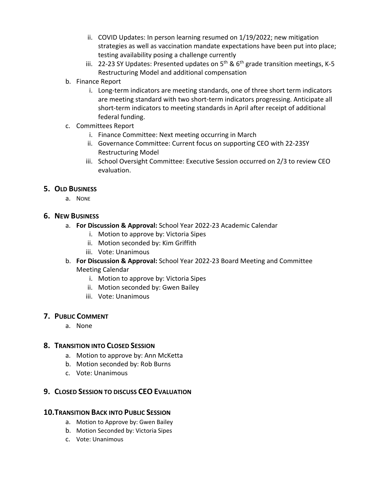- ii. COVID Updates: In person learning resumed on 1/19/2022; new mitigation strategies as well as vaccination mandate expectations have been put into place; testing availability posing a challenge currently
- iii. 22-23 SY Updates: Presented updates on  $5<sup>th</sup>$  &  $6<sup>th</sup>$  grade transition meetings, K-5 Restructuring Model and additional compensation
- b. Finance Report
	- i. Long-term indicators are meeting standards, one of three short term indicators are meeting standard with two short-term indicators progressing. Anticipate all short-term indicators to meeting standards in April after receipt of additional federal funding.
- c. Committees Report
	- i. Finance Committee: Next meeting occurring in March
	- ii. Governance Committee: Current focus on supporting CEO with 22-23SY Restructuring Model
	- iii. School Oversight Committee: Executive Session occurred on 2/3 to review CEO evaluation.

# **5. OLD BUSINESS**

a. NONE

# **6. NEW BUSINESS**

- a. **For Discussion & Approval:** School Year 2022-23 Academic Calendar
	- i. Motion to approve by: Victoria Sipes
	- ii. Motion seconded by: Kim Griffith
	- iii. Vote: Unanimous
- b. **For Discussion & Approval:** School Year 2022-23 Board Meeting and Committee Meeting Calendar
	- i. Motion to approve by: Victoria Sipes
	- ii. Motion seconded by: Gwen Bailey
	- iii. Vote: Unanimous

# **7. PUBLIC COMMENT**

a. None

# **8. TRANSITION INTO CLOSED SESSION**

- a. Motion to approve by: Ann McKetta
- b. Motion seconded by: Rob Burns
- c. Vote: Unanimous

# **9. CLOSED SESSION TO DISCUSS CEO EVALUATION**

# **10.TRANSITION BACK INTO PUBLIC SESSION**

- a. Motion to Approve by: Gwen Bailey
- b. Motion Seconded by: Victoria Sipes
- c. Vote: Unanimous